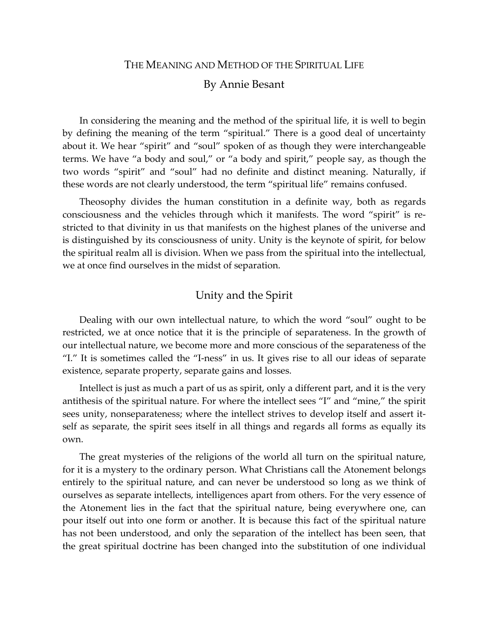#### THE MEANING AND METHOD OF THE SPIRITUAL LIFE

#### By Annie Besant

In considering the meaning and the method of the spiritual life, it is well to begin by defining the meaning of the term "spiritual." There is a good deal of uncertainty about it. We hear "spirit" and "soul" spoken of as though they were interchangeable terms. We have "a body and soul," or "a body and spirit," people say, as though the two words "spirit" and "soul" had no definite and distinct meaning. Naturally, if these words are not clearly understood, the term "spiritual life" remains confused.

Theosophy divides the human constitution in a definite way, both as regards consciousness and the vehicles through which it manifests. The word "spirit" is restricted to that divinity in us that manifests on the highest planes of the universe and is distinguished by its consciousness of unity. Unity is the keynote of spirit, for below the spiritual realm all is division. When we pass from the spiritual into the intellectual, we at once find ourselves in the midst of separation.

# Unity and the Spirit

Dealing with our own intellectual nature, to which the word "soul" ought to be restricted, we at once notice that it is the principle of separateness. In the growth of our intellectual nature, we become more and more conscious of the separateness of the "I." It is sometimes called the "I-ness" in us. It gives rise to all our ideas of separate existence, separate property, separate gains and losses.

Intellect is just as much a part of us as spirit, only a different part, and it is the very antithesis of the spiritual nature. For where the intellect sees "I" and "mine," the spirit sees unity, nonseparateness; where the intellect strives to develop itself and assert itself as separate, the spirit sees itself in all things and regards all forms as equally its own.

The great mysteries of the religions of the world all turn on the spiritual nature, for it is a mystery to the ordinary person. What Christians call the Atonement belongs entirely to the spiritual nature, and can never be understood so long as we think of ourselves as separate intellects, intelligences apart from others. For the very essence of the Atonement lies in the fact that the spiritual nature, being everywhere one, can pour itself out into one form or another. It is because this fact of the spiritual nature has not been understood, and only the separation of the intellect has been seen, that the great spiritual doctrine has been changed into the substitution of one individual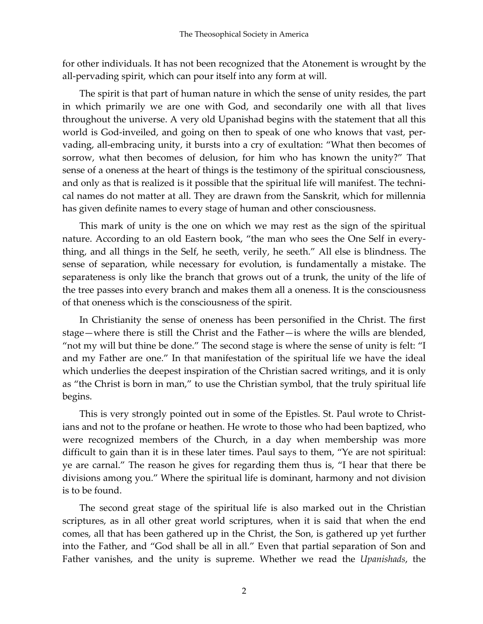for other individuals. It has not been recognized that the Atonement is wrought by the all-pervading spirit, which can pour itself into any form at will.

The spirit is that part of human nature in which the sense of unity resides, the part in which primarily we are one with God, and secondarily one with all that lives throughout the universe. A very old Upanishad begins with the statement that all this world is God-inveiled, and going on then to speak of one who knows that vast, pervading, all-embracing unity, it bursts into a cry of exultation: "What then becomes of sorrow, what then becomes of delusion, for him who has known the unity?" That sense of a oneness at the heart of things is the testimony of the spiritual consciousness, and only as that is realized is it possible that the spiritual life will manifest. The technical names do not matter at all. They are drawn from the Sanskrit, which for millennia has given definite names to every stage of human and other consciousness.

This mark of unity is the one on which we may rest as the sign of the spiritual nature. According to an old Eastern book, "the man who sees the One Self in everything, and all things in the Self, he seeth, verily, he seeth." All else is blindness. The sense of separation, while necessary for evolution, is fundamentally a mistake. The separateness is only like the branch that grows out of a trunk, the unity of the life of the tree passes into every branch and makes them all a oneness. It is the consciousness of that oneness which is the consciousness of the spirit.

In Christianity the sense of oneness has been personified in the Christ. The first stage—where there is still the Christ and the Father—is where the wills are blended, "not my will but thine be done." The second stage is where the sense of unity is felt: "I and my Father are one." In that manifestation of the spiritual life we have the ideal which underlies the deepest inspiration of the Christian sacred writings, and it is only as "the Christ is born in man," to use the Christian symbol, that the truly spiritual life begins.

This is very strongly pointed out in some of the Epistles. St. Paul wrote to Christians and not to the profane or heathen. He wrote to those who had been baptized, who were recognized members of the Church, in a day when membership was more difficult to gain than it is in these later times. Paul says to them, "Ye are not spiritual: ye are carnal." The reason he gives for regarding them thus is, "I hear that there be divisions among you." Where the spiritual life is dominant, harmony and not division is to be found.

The second great stage of the spiritual life is also marked out in the Christian scriptures, as in all other great world scriptures, when it is said that when the end comes, all that has been gathered up in the Christ, the Son, is gathered up yet further into the Father, and "God shall be all in all." Even that partial separation of Son and Father vanishes, and the unity is supreme. Whether we read the Upanishads, the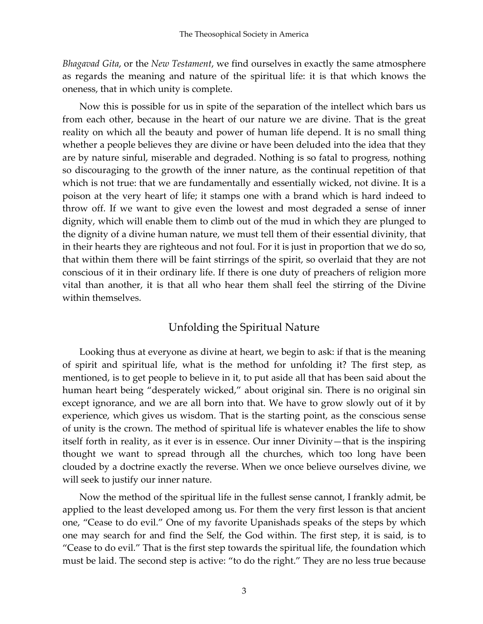Bhagavad Gita, or the New Testament, we find ourselves in exactly the same atmosphere as regards the meaning and nature of the spiritual life: it is that which knows the oneness, that in which unity is complete.

Now this is possible for us in spite of the separation of the intellect which bars us from each other, because in the heart of our nature we are divine. That is the great reality on which all the beauty and power of human life depend. It is no small thing whether a people believes they are divine or have been deluded into the idea that they are by nature sinful, miserable and degraded. Nothing is so fatal to progress, nothing so discouraging to the growth of the inner nature, as the continual repetition of that which is not true: that we are fundamentally and essentially wicked, not divine. It is a poison at the very heart of life; it stamps one with a brand which is hard indeed to throw off. If we want to give even the lowest and most degraded a sense of inner dignity, which will enable them to climb out of the mud in which they are plunged to the dignity of a divine human nature, we must tell them of their essential divinity, that in their hearts they are righteous and not foul. For it is just in proportion that we do so, that within them there will be faint stirrings of the spirit, so overlaid that they are not conscious of it in their ordinary life. If there is one duty of preachers of religion more vital than another, it is that all who hear them shall feel the stirring of the Divine within themselves.

# Unfolding the Spiritual Nature

Looking thus at everyone as divine at heart, we begin to ask: if that is the meaning of spirit and spiritual life, what is the method for unfolding it? The first step, as mentioned, is to get people to believe in it, to put aside all that has been said about the human heart being "desperately wicked," about original sin. There is no original sin except ignorance, and we are all born into that. We have to grow slowly out of it by experience, which gives us wisdom. That is the starting point, as the conscious sense of unity is the crown. The method of spiritual life is whatever enables the life to show itself forth in reality, as it ever is in essence. Our inner Divinity—that is the inspiring thought we want to spread through all the churches, which too long have been clouded by a doctrine exactly the reverse. When we once believe ourselves divine, we will seek to justify our inner nature.

Now the method of the spiritual life in the fullest sense cannot, I frankly admit, be applied to the least developed among us. For them the very first lesson is that ancient one, "Cease to do evil." One of my favorite Upanishads speaks of the steps by which one may search for and find the Self, the God within. The first step, it is said, is to "Cease to do evil." That is the first step towards the spiritual life, the foundation which must be laid. The second step is active: "to do the right." They are no less true because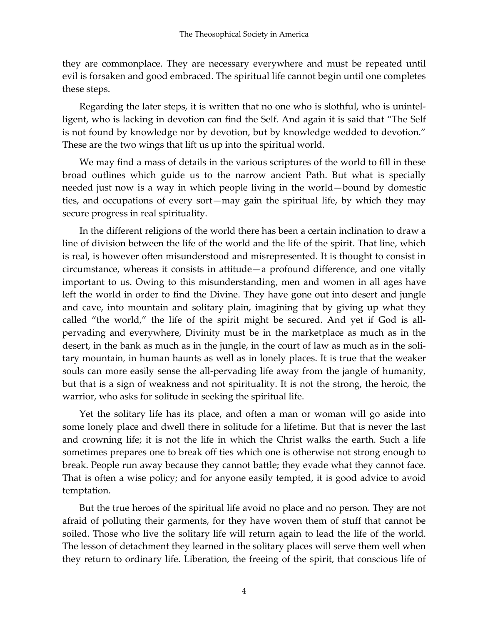they are commonplace. They are necessary everywhere and must be repeated until evil is forsaken and good embraced. The spiritual life cannot begin until one completes these steps.

Regarding the later steps, it is written that no one who is slothful, who is unintelligent, who is lacking in devotion can find the Self. And again it is said that "The Self is not found by knowledge nor by devotion, but by knowledge wedded to devotion." These are the two wings that lift us up into the spiritual world.

We may find a mass of details in the various scriptures of the world to fill in these broad outlines which guide us to the narrow ancient Path. But what is specially needed just now is a way in which people living in the world—bound by domestic ties, and occupations of every sort—may gain the spiritual life, by which they may secure progress in real spirituality.

In the different religions of the world there has been a certain inclination to draw a line of division between the life of the world and the life of the spirit. That line, which is real, is however often misunderstood and misrepresented. It is thought to consist in circumstance, whereas it consists in attitude—a profound difference, and one vitally important to us. Owing to this misunderstanding, men and women in all ages have left the world in order to find the Divine. They have gone out into desert and jungle and cave, into mountain and solitary plain, imagining that by giving up what they called "the world," the life of the spirit might be secured. And yet if God is allpervading and everywhere, Divinity must be in the marketplace as much as in the desert, in the bank as much as in the jungle, in the court of law as much as in the solitary mountain, in human haunts as well as in lonely places. It is true that the weaker souls can more easily sense the all-pervading life away from the jangle of humanity, but that is a sign of weakness and not spirituality. It is not the strong, the heroic, the warrior, who asks for solitude in seeking the spiritual life.

Yet the solitary life has its place, and often a man or woman will go aside into some lonely place and dwell there in solitude for a lifetime. But that is never the last and crowning life; it is not the life in which the Christ walks the earth. Such a life sometimes prepares one to break off ties which one is otherwise not strong enough to break. People run away because they cannot battle; they evade what they cannot face. That is often a wise policy; and for anyone easily tempted, it is good advice to avoid temptation.

But the true heroes of the spiritual life avoid no place and no person. They are not afraid of polluting their garments, for they have woven them of stuff that cannot be soiled. Those who live the solitary life will return again to lead the life of the world. The lesson of detachment they learned in the solitary places will serve them well when they return to ordinary life. Liberation, the freeing of the spirit, that conscious life of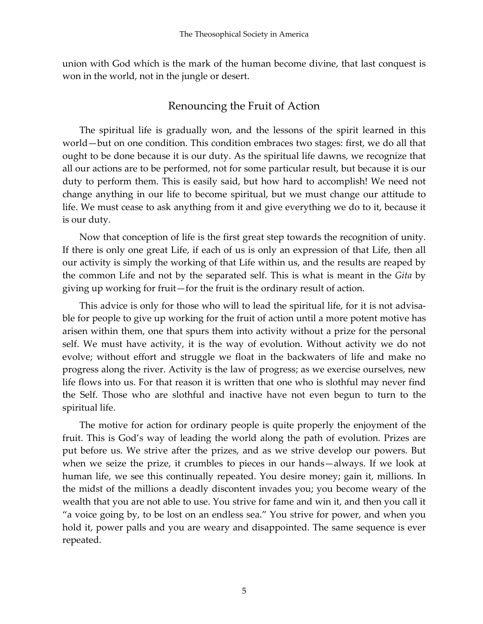union with God which is the mark of the human become divine, that last conquest is won in the world, not in the jungle or desert.

### Renouncing the Fruit of Action

The spiritual life is gradually won, and the lessons of the spirit learned in this world—but on one condition. This condition embraces two stages: first, we do all that ought to be done because it is our duty. As the spiritual life dawns, we recognize that all our actions are to be performed, not for some particular result, but because it is our duty to perform them. This is easily said, but how hard to accomplish! We need not change anything in our life to become spiritual, but we must change our attitude to life. We must cease to ask anything from it and give everything we do to it, because it is our duty.

Now that conception of life is the first great step towards the recognition of unity. If there is only one great Life, if each of us is only an expression of that Life, then all our activity is simply the working of that Life within us, and the results are reaped by the common Life and not by the separated self. This is what is meant in the Gita by giving up working for fruit—for the fruit is the ordinary result of action.

This advice is only for those who will to lead the spiritual life, for it is not advisable for people to give up working for the fruit of action until a more potent motive has arisen within them, one that spurs them into activity without a prize for the personal self. We must have activity, it is the way of evolution. Without activity we do not evolve; without effort and struggle we float in the backwaters of life and make no progress along the river. Activity is the law of progress; as we exercise ourselves, new life flows into us. For that reason it is written that one who is slothful may never find the Self. Those who are slothful and inactive have not even begun to turn to the spiritual life.

The motive for action for ordinary people is quite properly the enjoyment of the fruit. This is God's way of leading the world along the path of evolution. Prizes are put before us. We strive after the prizes, and as we strive develop our powers. But when we seize the prize, it crumbles to pieces in our hands—always. If we look at human life, we see this continually repeated. You desire money; gain it, millions. In the midst of the millions a deadly discontent invades you; you become weary of the wealth that you are not able to use. You strive for fame and win it, and then you call it "a voice going by, to be lost on an endless sea." You strive for power, and when you hold it, power palls and you are weary and disappointed. The same sequence is ever repeated.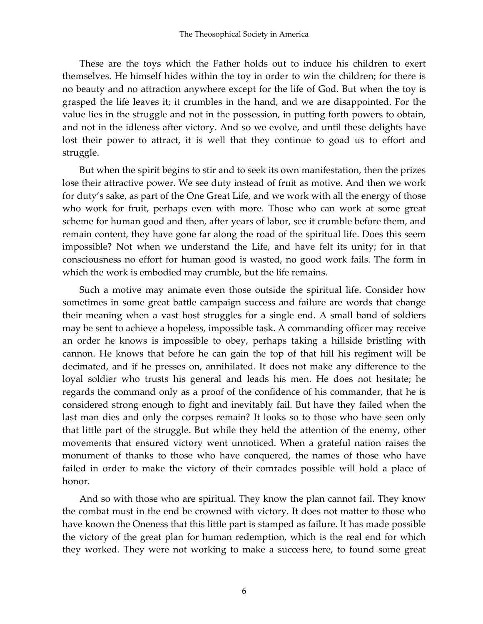These are the toys which the Father holds out to induce his children to exert themselves. He himself hides within the toy in order to win the children; for there is no beauty and no attraction anywhere except for the life of God. But when the toy is grasped the life leaves it; it crumbles in the hand, and we are disappointed. For the value lies in the struggle and not in the possession, in putting forth powers to obtain, and not in the idleness after victory. And so we evolve, and until these delights have lost their power to attract, it is well that they continue to goad us to effort and struggle.

But when the spirit begins to stir and to seek its own manifestation, then the prizes lose their attractive power. We see duty instead of fruit as motive. And then we work for duty's sake, as part of the One Great Life, and we work with all the energy of those who work for fruit, perhaps even with more. Those who can work at some great scheme for human good and then, after years of labor, see it crumble before them, and remain content, they have gone far along the road of the spiritual life. Does this seem impossible? Not when we understand the Life, and have felt its unity; for in that consciousness no effort for human good is wasted, no good work fails. The form in which the work is embodied may crumble, but the life remains.

Such a motive may animate even those outside the spiritual life. Consider how sometimes in some great battle campaign success and failure are words that change their meaning when a vast host struggles for a single end. A small band of soldiers may be sent to achieve a hopeless, impossible task. A commanding officer may receive an order he knows is impossible to obey, perhaps taking a hillside bristling with cannon. He knows that before he can gain the top of that hill his regiment will be decimated, and if he presses on, annihilated. It does not make any difference to the loyal soldier who trusts his general and leads his men. He does not hesitate; he regards the command only as a proof of the confidence of his commander, that he is considered strong enough to fight and inevitably fail. But have they failed when the last man dies and only the corpses remain? It looks so to those who have seen only that little part of the struggle. But while they held the attention of the enemy, other movements that ensured victory went unnoticed. When a grateful nation raises the monument of thanks to those who have conquered, the names of those who have failed in order to make the victory of their comrades possible will hold a place of honor.

And so with those who are spiritual. They know the plan cannot fail. They know the combat must in the end be crowned with victory. It does not matter to those who have known the Oneness that this little part is stamped as failure. It has made possible the victory of the great plan for human redemption, which is the real end for which they worked. They were not working to make a success here, to found some great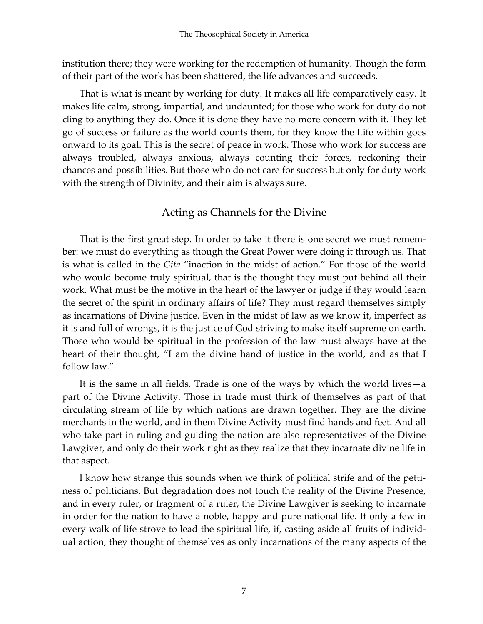institution there; they were working for the redemption of humanity. Though the form of their part of the work has been shattered, the life advances and succeeds.

That is what is meant by working for duty. It makes all life comparatively easy. It makes life calm, strong, impartial, and undaunted; for those who work for duty do not cling to anything they do. Once it is done they have no more concern with it. They let go of success or failure as the world counts them, for they know the Life within goes onward to its goal. This is the secret of peace in work. Those who work for success are always troubled, always anxious, always counting their forces, reckoning their chances and possibilities. But those who do not care for success but only for duty work with the strength of Divinity, and their aim is always sure.

### Acting as Channels for the Divine

That is the first great step. In order to take it there is one secret we must remember: we must do everything as though the Great Power were doing it through us. That is what is called in the Gita "inaction in the midst of action." For those of the world who would become truly spiritual, that is the thought they must put behind all their work. What must be the motive in the heart of the lawyer or judge if they would learn the secret of the spirit in ordinary affairs of life? They must regard themselves simply as incarnations of Divine justice. Even in the midst of law as we know it, imperfect as it is and full of wrongs, it is the justice of God striving to make itself supreme on earth. Those who would be spiritual in the profession of the law must always have at the heart of their thought, "I am the divine hand of justice in the world, and as that I follow law."

It is the same in all fields. Trade is one of the ways by which the world lives—a part of the Divine Activity. Those in trade must think of themselves as part of that circulating stream of life by which nations are drawn together. They are the divine merchants in the world, and in them Divine Activity must find hands and feet. And all who take part in ruling and guiding the nation are also representatives of the Divine Lawgiver, and only do their work right as they realize that they incarnate divine life in that aspect.

I know how strange this sounds when we think of political strife and of the pettiness of politicians. But degradation does not touch the reality of the Divine Presence, and in every ruler, or fragment of a ruler, the Divine Lawgiver is seeking to incarnate in order for the nation to have a noble, happy and pure national life. If only a few in every walk of life strove to lead the spiritual life, if, casting aside all fruits of individual action, they thought of themselves as only incarnations of the many aspects of the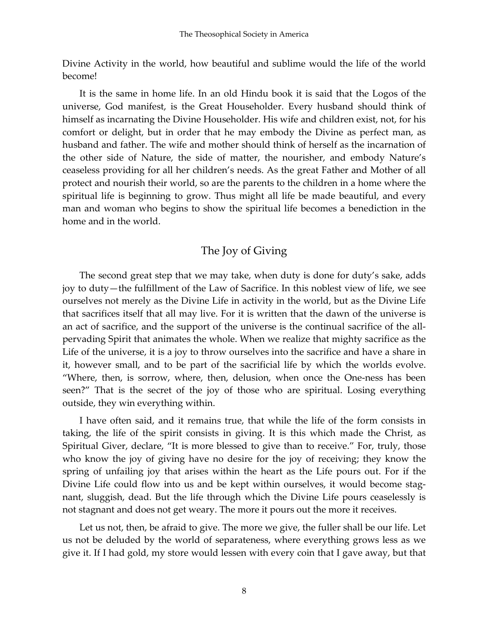Divine Activity in the world, how beautiful and sublime would the life of the world become!

It is the same in home life. In an old Hindu book it is said that the Logos of the universe, God manifest, is the Great Householder. Every husband should think of himself as incarnating the Divine Householder. His wife and children exist, not, for his comfort or delight, but in order that he may embody the Divine as perfect man, as husband and father. The wife and mother should think of herself as the incarnation of the other side of Nature, the side of matter, the nourisher, and embody Nature's ceaseless providing for all her children's needs. As the great Father and Mother of all protect and nourish their world, so are the parents to the children in a home where the spiritual life is beginning to grow. Thus might all life be made beautiful, and every man and woman who begins to show the spiritual life becomes a benediction in the home and in the world.

# The Joy of Giving

The second great step that we may take, when duty is done for duty's sake, adds joy to duty—the fulfillment of the Law of Sacrifice. In this noblest view of life, we see ourselves not merely as the Divine Life in activity in the world, but as the Divine Life that sacrifices itself that all may live. For it is written that the dawn of the universe is an act of sacrifice, and the support of the universe is the continual sacrifice of the allpervading Spirit that animates the whole. When we realize that mighty sacrifice as the Life of the universe, it is a joy to throw ourselves into the sacrifice and have a share in it, however small, and to be part of the sacrificial life by which the worlds evolve. "Where, then, is sorrow, where, then, delusion, when once the One-ness has been seen?" That is the secret of the joy of those who are spiritual. Losing everything outside, they win everything within.

I have often said, and it remains true, that while the life of the form consists in taking, the life of the spirit consists in giving. It is this which made the Christ, as Spiritual Giver, declare, "It is more blessed to give than to receive." For, truly, those who know the joy of giving have no desire for the joy of receiving; they know the spring of unfailing joy that arises within the heart as the Life pours out. For if the Divine Life could flow into us and be kept within ourselves, it would become stagnant, sluggish, dead. But the life through which the Divine Life pours ceaselessly is not stagnant and does not get weary. The more it pours out the more it receives.

Let us not, then, be afraid to give. The more we give, the fuller shall be our life. Let us not be deluded by the world of separateness, where everything grows less as we give it. If I had gold, my store would lessen with every coin that I gave away, but that